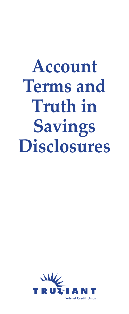# **Account Terms and Truth in Savings Disclosures**

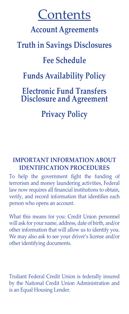# **Contents**

# **Account Agreements**

# **Truth in Savings Disclosures**

# **Fee Schedule**

# **Funds Availability Policy**

# **Electronic Fund Transfers Disclosure and Agreement**

**Privacy Policy**

# **IMPORTANT INFORMATION ABOUT IDENTIFICATION PROCEDURES**

To help the government fight the funding of terrorism and money laundering activities, Federal law now requires all financial institutions to obtain, verify, and record information that identifies each person who opens an account.

What this means for you: Credit Union personnel will ask for your name, address, date of birth, and/or other information that will allow us to identify you. We may also ask to see your driver's license and/or other identifying documents.

Truliant Federal Credit Union is federally insured by the National Credit Union Administration and is an Equal Housing Lender.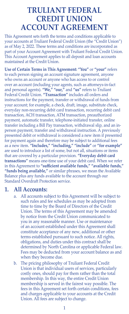# **TRULIANT FEDERAL CREDIT UNION ACCOUNT AGREEMENT**

This Agreement sets forth the terms and conditions applicable to your accounts at Truliant Federal Credit Union (the "Credit Union") as of May 2, 2022. These terms and conditions are incorporated as part of your Account Agreement with Truliant Federal Credit Union. This Account Agreement applies to all deposit and loan accounts maintained at the Credit Union.

**Use of Certain Terms in This Agreement: "You"** or **"your"** refers to each person signing an account signature agreement, anyone who owns an account or anyone who has access to or control over an account (including your agents, such as attorneys-in-fact and personal agents). **"We," "our,"** and **"us"** refers to Truliant Federal Credit Union. **"Transaction"** includes all orders and instructions for the payment, transfer or withdrawal of funds from your account; for example, a check, draft, image, substitute check, everyday non-recurring debit card transaction, recurring debit card transaction, ACH transaction, ATM transaction, preauthorized payment, automatic transfer, telephone-initiated transfer, online transfer including a Bill Pay transaction, withdrawal slip, and an inperson payment, transfer and withdrawal instruction. A previously presented debit or withdrawal is considered a new item if presented for payment again and therefore may be subject to additional fees as a new item. **"Includes," "including," "include"** or **"for example"** are used to introduce a list of some, but not all, situations or items that are covered by a particular provision. **"Everyday debit card transactions"** means one-time use of your debit card. When we refer in this Agreement to **"sufficient available funds," "available funds," "funds being available,"** or similar phrases, we mean the Available Balance plus any funds available to the account through our Standard Overdraft Protection service.

### **1. All Accounts:**

- a. All accounts subject to this Agreement will be subject to such rules and fee schedules as may be adopted from time to time by the Board of Directors of the Credit Union. The terms of this Agreement may be amended by notice from the Credit Union communicated to you in any reasonable manner. Use or maintenance of an account established under this Agreement shall constitute acceptance of any new, additional or other terms established pursuant to such notice. All rights, obligations, and duties under this contract shall be determined by North Carolina or applicable Federal law. Fees may be deducted from your account balance as and when they become due.
- b. The pricing philosophy of Truliant Federal Credit Union is that individual users of services, particularly costly ones, should pay for them rather than the total membership. In this way, the entire Credit Union membership is served in the fairest way possible. The fees in this Agreement set forth certain conditions, fees and charges applicable to your accounts at the Credit Union. All fees are subject to change.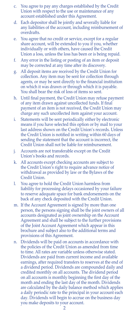- c. You agree to pay any charges established by the Credit Union with respect to the use or maintenance of any account established under this Agreement.
- d. Each depositor shall be jointly and severally liable for any liabilities of the account, including reimbursement of overdrafts.
- e. You agree that no credit or service, except for a regular share account, will be extended to you if you, whether individually or with others, have caused the Credit Union a loss, unless the loss has been or is being repaid.
- f. Any error in the listing or posting of an item or deposit may be corrected at any time after its discovery.
- g. All deposit items are received by the Credit Union for collection. Any item may be sent for collection through agents, or may be sent directly to the financial institution on which it was drawn or through which it is payable. You shall bear the risk of loss of items so sent.
- h. Until final payment, the Credit Union may refuse payment of any item drawn against uncollected funds. If final payment of an item is not received, the Credit Union may charge any such uncollected item against your account.
- i. Statements will be sent periodically either by electronic means if you have selected this option or by mail to your last address shown on the Credit Union's records. Unless the Credit Union is notified in writing within 60 days of sending the statement that the account is incorrect, the Credit Union shall not be liable for reimbursement.
- j. Accounts are not transferable except on the Credit Union's books and records.
- k. All accounts except checking accounts are subject to the Credit Union's right to require advance notice of withdrawal as provided by law or the Bylaws of the Credit Union.
- l. You agree to hold the Credit Union harmless from liability for processing delays occasioned by your failure to reserve adequate space for bank endorsements on the back of any check deposited with the Credit Union.
- m. If the Account Agreement is signed by more than one person, the persons signing shall be the joint owners of all accounts designated as joint ownership on the Account Agreement and shall be subject to the further provisions of the Joint Account Agreement which appear in this brochure and subject also to the additional terms and provisions of this Agreement.
- n. Dividends will be paid on accounts in accordance with the policies of the Credit Union as amended from time to time. All rates are variable unless otherwise stated. Dividends are paid from current income and available earnings, after required transfers to reserves at the end of a dividend period. Dividends are compounded daily and credited monthly on all accounts. The dividend period on all accounts is monthly beginning the first day of the month and ending the last day of the month. Dividends are calculated by the daily balance method which applies a daily periodic rate to the principal in your account each day. Dividends will begin to accrue on the business day you make deposits to your account.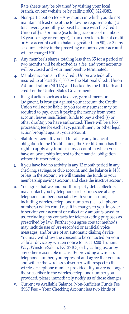Rate sheets may be obtained by visiting your local branch, on our website or by calling (800) 822-0382.

- o. Non-participation fee Any month in which you do not maintain at least one of the following requirements 1) a total average monthly deposit balance with the Credit Union of \$250 or more (excluding accounts of members 18 years of age or younger); 2) an open loan, line of credit or Visa account (with a balance greater than \$0); or 3) any account activity in the preceding 6 months, your account will be charged \$10.
- p. Any member's shares totaling less than \$5 for a period of two months will be absorbed as a fee, and your accounts will be closed and your membership terminated.
- q. Member accounts in this Credit Union are federally insured to at least \$250,000 by the National Credit Union Administration (NCUA) and backed by the full faith and credit of the United States Government.
- r. If legal action such as a tax levy, garnishment, or judgment, is brought against your account, the Credit Union will not be liable to you for any sums it may be required to pay, even if paying the money from your account leaves insufficient funds to pay a check(s) or other draft(s) you have authorized. There will be a \$65 processing fee for each levy, garnishment, or other legal action brought against your account.
- s. Statutory Lien If you fail to satisfy any financial obligation to the Credit Union, the Credit Union has the right to apply any funds in any account in which you have an ownership interest to the financial obligation without further notice.
- t. If you have had no activity in any 12 month period in any checking, savings, or club account, and the balance is \$100 or less in the account, we will transfer the funds to your membership savings account and close the inactive account.
- u. You agree that we and our third-party debt collectors may contact you by telephone or text message at any telephone number associated with your account, including wireless telephone numbers (i.e., cell phone numbers) which could result in charges to you, in order to service your account or collect any amounts owed to us, excluding any contacts for telemarketing purposes as prescribed by law. Further you agree contact methods may include use of pre-recorded or artificial voice messages, and/or use of an automatic dialing device. You may withdraw the consent to be contacted on your cellular device by written notice to us at 3200 Truliant Way, Winston-Salem, NC 27103, or by calling us, or by any other reasonable means. By providing a wireless telephone number, you represent and agree that you are and will be the wireless subscriber with respect to the wireless telephone number provided. If you are no longer the subscriber to the wireless telephone number you provided, please immediately notify us of those changes.
- v. Current vs Available Balance; Non-Sufficient Funds Fee (NSF Fee) – Your Checking Account has two kinds of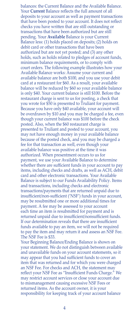balances: the Current Balance and the Available Balance. Your **Current** Balance reflects the full amount of all deposits to your account as well as payment transactions that have been posted to your account. It does not reflect checks you have written that are still outstanding or transactions that have been authorized but are still pending. Your **Available** Balance is your Current Balance less: (1) holds placed on deposits; (2) holds on debit card or other transactions that have been authorized but are not yet posted; and (3) any other holds, such as holds related to pledges of account funds, minimum balance requirements, or to comply with court orders. The following example illustrates how your Available Balance works: Assume your current and available balance are both \$100, and you use your debit card at a restaurant for \$60. As a result, your available balance will be reduced by \$60 so your available balance is only \$40. Your current balance is still \$100. Before the restaurant charge is sent to us for posting, a check that you wrote for \$50 is presented to Truliant for payment. Because you have only \$40 available, your account will be overdrawn by \$10 and you may be charged a fee, even though your current balance was \$100 before the check posted. Also, when the \$60 restaurant charge is presented to Truliant and posted to your account, you may not have enough money in your available balance because of the posted check, and you may be charged a fee for that transaction as well, even though your available balance was positive at the time it was authorized. When presentment occurs to us for payment, we use your Available Balance to determine whether there are sufficient funds in your account to pay items, including checks and drafts, as well as ACH, debit card and other electronic transactions. Your Available Balance is subject to our Funds Availability Policy. Items and transactions, including checks and electronic transactions/payments that are returned unpaid due to insufficient/non-sufficient ('NSF') funds in your account, may be resubmitted one or more additional times for payment. A fee may be assessed to your account each time an item is resubmitted for payment and is returned unpaid due to insufficient/nonsufficient funds. If our determination reveals that there are insufficient funds available to pay an item, we will not be required to pay the item and may return it and assess an NSF Fee. The NSF Fee is \$33.

Your Beginning Balance/Ending Balance is shown on your statement. We do not distinguish between available and unavailable funds on your account statements, so it may appear that you had sufficient funds to cover an item that was returned and for which you were charged an NSF Fee. For checks and ACH, the statement may reflect your NSF Fee as "Insufficient Funds Charge." We may restrict account services or close your account due to mismanagement causing excessive NSF Fees or returned items. As the account owner, it is your responsibility for keeping track of your account balance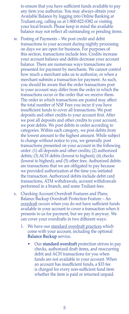to ensure that you have sufficient funds available to pay any item you authorize. You may always obtain your Available Balance by logging into Online Banking at Truliant.org, calling us at 1-800-822-0382 or visiting your local branch. Please keep in mind the available balance may not reflect all outstanding or pending items.

- w. Posting of Payments We post credit and debit transactions to your account during nightly processing on days we are open for business. For purposes of this section, transactions include fees. Credits increase your account balance and debits decrease your account balance. There are numerous ways transactions are presented for payment by merchants. We cannot control how much a merchant asks us to authorize, or when a merchant submits a transaction for payment. As such, you should be aware that the order transactions post to your account may differ from the order in which the transactions occur or the order that we receive them. The order in which transactions are posted may affect the total number of NSF Fees you incur if you have insufficient funds to cover all transactions. We post deposits and other credits to your account first. After we post all deposits and other credits to your account, we post debits. We post debits in order according to categories. Within each category, we post debits from the lowest amount to the highest amount. While subject to change without notice to you, we generally post transactions presented on your account in the following order: (1) all deposits and other credits; (2) authorized debits; (3) ACH debits (lowest to highest); (4) checks (lowest to highest); and (5) other fees. Authorized debits are transactions that we are obligated to pay because we provided authorization at the time you initiated the transaction. Authorized debits include debit card transactions, ATM withdrawals, account withdrawals performed in a branch, and some Truliant fees.
- x. Checking Account Overdraft Features and Plans; Balance Backup Overdraft Protection Feature – An overdraft occurs when you do not have sufficient funds available in your account to cover a transaction when it presents to us for payment, but we pay it anyway. We can cover your overdrafts in two different ways:
	- 1. We have our standard overdraft practices which come with your account, including the optional **Balance Backup** service.
		- Our **standard overdraft** protection strives to pay checks, authorized draft items, and reoccurring debit and ACH transactions for you when funds are not available in your account. When an account has insufficient funds, a \$33 fee is charged for every non-sufficient fund item whether the item is paid or returned unpaid.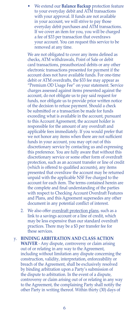• We extend our **Balance Backup** protection feature to your everyday debit and ATM transactions with your approval. If funds are not available in your account, we will strive to pay those everyday debit purchases and ATM transactions. If we cover an item for you, you will be charged a fee of \$33 per transaction that overdraws your account. You can request this service to be removed at any time.

We are not obligated to cover any items defined as checks, ATM withdrawals, Point of Sale or debit card transactions, preauthorized debits or any other electronic transactions presented for payment if the account does not have available funds. For one-time debit or ATM overdrafts, the \$33 fee may appear as "Premium OD Usage Fee" on your statement. Service charges assessed against items presented against the account, do not obligate us to pay said request for funds, nor obligate us to provide prior written notice of the decision to refuse payment. Should a check be submitted or a transaction be made for funds exceeding what is available in the account, pursuant to this Account Agreement, the account holder is responsible for the amount of any overdraft and applicable fees immediately. If you would prefer that we not honor any items when there are not sufficient funds in your account, you may opt out of this discretionary service by contacting us and expressing this preference. You are fully aware that without this discretionary service or some other form of overdraft protection, such as an account transfer or line of credit (which is offered to qualified accounts), any items presented that overdraw the account may be returned unpaid with the applicable NSF Fee charged to the account for each item. The terms contained herein are the complete and final understanding of the parties with respect to Checking Account Overdraft Features and Plans, and this Agreement supersedes any other document in any potential conflict of interest.

- 2. We also offer overdraft protection plans, such as a link to a savings account or a line of credit, which may be less expensive than our standard overdraft practices. There may be a \$3 per transfer fee for these services.
- y. **BINDING ARBITRATION AND CLASS ACTION WAIVER** - Any dispute, controversy or claim arising out of or relating in any way to the Agreement, including without limitation any dispute concerning the construction, validity, interpretation, enforceability or breach of the Agreement, shall be exclusively resolved by binding arbitration upon a Party's submission of the dispute to arbitration. In the event of a dispute, controversy or claim arising out of or relating in any way to the Agreement, the complaining Party shall notify the other Party in writing thereof. Within thirty (30) days of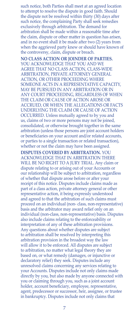such notice, both Parties shall meet at an agreed location to attempt to resolve the dispute in good faith. Should the dispute not be resolved within thirty (30) days after such notice, the complaining Party shall seek remedies exclusively through arbitration. The demand for arbitration shall be made within a reasonable time after the claim, dispute or other matter in question has arisen, and in no event shall it be made after two (2) years from when the aggrieved party knew or should have known of the controversy, claim, dispute or breach.

 **NO CLASS ACTION OR JOINDER OF PARTIES.**  YOU ACKNOWLEDGE THAT YOU AND WE AGREE THAT NO CLASS ACTION, CLASS-WIDE ARBITRATION, PRIVATE ATTORNEY GENERAL ACTION, OR OTHER PROCEEDING WHERE SOMEONE ACTS IN A REPRESENTATIVE CAPACITY, MAY BE PURSUED IN ANY ARBITRATION OR IN ANY COURT PROCEEDING, REGARDLESS OF WHEN THE CLAIM OR CAUSE OF ACTION AROSE OR ACCRUED, OR WHEN THE ALLEGATIONS OR FACTS UNDERLYING THE CLAIM OR CAUSE OF ACTION OCCURRED. Unless mutually agreed to by you and us, claims of two or more persons may not be joined, consolidated, or otherwise brought together in the same arbitration (unless those persons are joint account holders or beneficiaries on your account and/or related accounts, or parties to a single transaction or related transaction), whether or not the claim may have been assigned.

 **DISPUTES COVERED BY ARBITRATION.** YOU ACKNOWLEDGE THAT IN ARBITRATION THERE WILL BE NO RIGHT TO A JURY TRIAL. Any claim or dispute relating to or arising out of your Accounts or our relationship will be subject to arbitration, regardless of whether that dispute arose before or after your receipt of this notice. Disputes include claims made as part of a class action, private attorney general or other representative action, it being expressly understood and agreed to that the arbitration of such claims must proceed on an individual (non- class, non-representative) basis and the arbitrator may award relief only on an individual (non-class, non-representative) basis. Disputes also include claims relating to the enforceability or interpretation of any of these arbitration provisions. Any questions about whether disputes are subject to arbitration shall be resolved by interpreting this arbitration provision in the broadest way the law will allow it to be enforced. All disputes are subject to arbitration, no matter what legal theory they are based on, or what remedy (damages, or injunctive or declaratory relief) they seek. Disputes include any unresolved claims concerning any services relating to your Accounts. Disputes include not only claims made directly by you, but also made by anyone connected with you or claiming through you, such as a joint account holder, account beneficiary, employee, representative, agent, predecessor or successor, heir, assignee, or trustee in bankruptcy. Disputes include not only claims that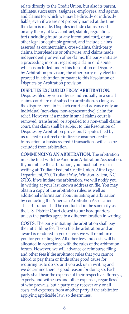relate directly to the Credit Union, but also its parent, affiliates, successors, assignees, employees, and agents, and claims for which we may be directly or indirectly liable, even if we are not properly named at the time the claim is made. Disputes include claims based on any theory of law, contract, statute, regulation, tort (including fraud or any intentional tort), or any other legal or equitable ground, and include claims asserted as counterclaims, cross-claims, third-party claims, interpleaders or otherwise; and claims made independently or with other claims. If a party initiates a proceeding in court regarding a claim or dispute which is included under this Resolution of Disputes by Arbitration provision, the other party may elect to proceed in arbitration pursuant to this Resolution of Disputes by Arbitration provision.

 **DISPUTES EXCLUDED FROM ARBITRATION.** Disputes filed by you or by us individually in a small claims court are not subject to arbitration, so long as the disputes remain in such court and advance only an individual (non-class, non-representative) claim for relief. However, if a matter in small claims court is removed, transferred, or appealed to a non-small claims court, that claim shall be subject to this Resolution of Disputes by Arbitration provision. Disputes filed by us related to a direct or indirect consumer credit transaction or business credit transactions will also be excluded from arbitration.

 **COMMENCING AN ARBITRATION**. The arbitration must be filed with the American Arbitration Association. If you initiate the arbitration, you must notify us in writing at: Truliant Federal Credit Union, Attn: Legal Department, 3200 Truliant Way, Winston- Salem, NC 27103. If we initiate the arbitration, we will notify you in writing at your last known address on file. You may obtain a copy of the arbitration rules, as well as additional information about initiating an arbitration by contacting the American Arbitration Association. The arbitration shall be conducted in the same city as the U.S. District Court closest to our headquarters, unless the parties agree to a different location in writing.

 **COSTS.** The party initiating the arbitration shall pay the initial filing fee. If you file the arbitration and an award is rendered in your favor, we will reimburse you for your filing fee. All other fees and costs will be allocated in accordance with the rules of the arbitration forum. However, we will advance or reimburse filing and other fees if the arbitrator rules that you cannot afford to pay them or finds other good cause for requiring us to do so, or if you ask us in writing and we determine there is good reason for doing so. Each party shall bear the expense of their respective attorneys, experts, and witnesses and other expenses, regardless of who prevails, but a party may recover any or all costs and expenses from another party if the arbitrator, applying applicable law, so determines.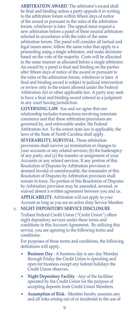**ARBITRATION AWARD**. The arbitrator's award shall be final and binding unless a party appeals it in writing to the arbitration forum within fifteen days of notice of the award or pursuant to the rules of the arbitration forum, whichever is later. The appeal must request a new arbitration before a panel of three neutral arbitrators selected in accordance with the rules of the same arbitration forum. The panel will consider all factual and legal issues anew, follow the same rules that apply to a proceeding using a single arbitrator, and make decisions based on the vote of the majority. Costs will be allocated in the same manner as allocated before a single arbitrator. An award by a panel is final and binding on the parties after fifteen days of notice of the award or pursuant to the rules of the arbitration forum, whichever is later. A final and binding award is subject to judicial intervention or review only to the extent allowed under the Federal Arbitration Act or other applicable law. A party may seek to have a final and binding award entered as a judgment in any court having jurisdiction.

 **GOVERNING LAW**. You and we agree that our relationship includes transactions involving interstate commerce and that these arbitration provisions are governed by, and enforceable under, the Federal Arbitration Act. To the extent state law is applicable, the laws of the State of North Carolina shall apply.

 **SEVERABILITY, SURVIVAL**. These arbitration provisions shall survive (a) termination or changes to your accounts or any related services; (b) the bankruptcy of any party; and (c) the transfer or assignment of your Accounts or any related services. If any portion of this Resolution of Disputes by Arbitration provision is deemed invalid or unenforceable, the remainder of this Resolution of Disputes by Arbitration provision shall remain in force. No portion of this Resolution of Disputes by Arbitration provision may be amended, severed, or waived absent a written agreement between you and us. **APPLICABILITY**. Arbitration will not apply to your Account as long as you are an active duty Service Member.

#### z. **NIGHT DEPOSITORY SERVICE DISCLOSURE**

Truliant Federal Credit Union ("Credit Union") offers night depository services under these terms and conditions in this Account Agreement. By utilizing this service, you are agreeing to the following terms and conditions:

For purposes of these terms and conditions, the following definitions will apply.

- **Business Day** A business day is any day Monday through Friday the Credit Union is operating and open for business except any federal holidays the Credit Union observes.
- **Night Depository Facility** Any of the facilities operated by the Credit Union for the purpose of accepting deposits from Credit Union Members.
- **Assumption of Risk** Member hereby assumes any and all risks arising out of or incidental to the use of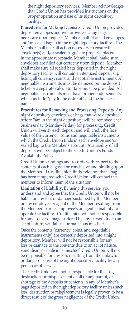the night depository services. Member acknowledges that Credit Union has provided instructions on the proper operation and use of its night depository facility.

 **Procedures for Making Deposits.** Credit Union provides deposit envelopes and will provide sealing bags as necessary upon request. Member shall place all envelopes and/or sealed bag(s) in the night depository facility. The Member shall take all action necessary to ensure the envelope(s) and/or sealed bag(s) are properly placed in the appropriate receptacle. Member shall make sure envelopes are filled out correctly upon deposit. Member shall make sure all sealed bags deposited in the night depository facility will contain an itemized deposit slip listing all currency, coins, and negotiable instruments. All negotiable instruments must be itemized on the deposit ticket or a separate calculator tape must be provided. All negotiable instruments must have proper endorsements, which include "pay to the order of" and the business name.

 **Procedures for Removing and Processing Deposits.** Any night depository envelopes or bags that were deposited before 7am in the night depository will be removed each business day (Monday-Friday) for processing. Credit Union will verify each deposit and will credit the face value of the currency, coins and negotiable instruments, which the Credit Union finds in each envelope and/or sealed bag to the Member's account. Availability of all deposits will be subject to the Credit Union's Funds Availability Policy.

Credit Union's findings and records with respect to the contents of each bag will be conclusive and binding upon the Member. If Credit Union finds evidence that a bag has been tampered with Credit Union will contact the member to inform them of the situation.

 **Limitation of Liability.** By using this service, you understand and agree that the Credit Union will not be liable for any loss or damage sustained by the Member or any employee or agent of the Member resulting from the Member's (or its employee's or agent's) inability to operate the facility. Credit Union will not be responsible for any loss or damage suffered by any person due to an act of nature, vandalism, or malicious mischief.

Once the contents (currency, coins, and negotiable instruments only) are correctly deposited into a night depository, Member will not be responsible for any loss or damage to the contents due to an act of nature, vandalism, or malicious mischief. Credit Union will not be responsible for any loss resulting from the unlawful or dangerous use of the night depository facility by any person or otherwise.

 The Credit Union will not be responsible for the loss, destruction, or misplacement of all or any part of, or shortage of the deposits or contents in any of Member's bags deposited in the night depository facility unless such loss, destruction or misplacement is legally proven to be a direct result of the gross negligence of the Credit Union.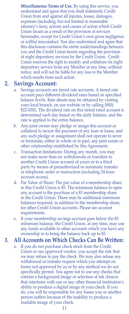**Miscellaneous Terms of Use.** By using this service, you understand and agree that you shall indemnify Credit Union from and against all injuries, losses, damages, expenses (including, but not limited to reasonable attorney's fees), actions and causes of action which Credit Union incurs as a result of the provision of services hereunder, except for Credit Union's own gross negligence or willful misconduct. You also understand and agree that this disclosure contains the entire understandings between you and the Credit Union hereto regarding the provision of night depository services by the Credit Union. Credit Union reserves the right to modify and withdraw its night depository service from any Member at any time, without notice, and will not be liable for any loss to the Member which results from such action.

## **2. Savings Account:**

- a. Savings accounts are tiered rate accounts. A tiered rate account pays different dividend rates based on specified balance levels. Rate sheets may be obtained by visiting your local branch, on our website or by calling (800) 822-0382. The dividend rate on this tiered rated account is determined each day based on the daily balance, and the rate is applied to the entire balance.
- b. Any joint owner may pledge or assign this account as collateral to secure the payment of any loan or loans, and any such pledge or assignment shall not operate to sever or terminate, either in whole or in part, any joint estate or other relationship established by this Agreement.
- c. Transaction limitations: During any month, you may not make more than six withdrawals or transfers to another Credit Union account of yours or to a third party by means of preauthorized or automatic transfer or telephonic order or instruction (including 24-hour account access).
- d. Par Value of Share: The par value of a membership share in this Credit Union is \$5. The minimum balance to open any account is the purchase of a \$5 membership share in the Credit Union. There may be additional minimum balances required, in addition to the membership share, for other Credit Union accounts. Please see account requirements.
- e. If your membership savings account goes below the \$5 minimum balance, the Credit Union, at any time, may use any funds available in other accounts which you have any ownership in to bring the balance back up to \$5.

### **3. All Accounts on Which Checks Can Be Written:**

a. If you do not purchase check stock from the Credit Union or our approved vendor, you accept the risk that we may refuse to pay the check. We may also refuse any withdrawal or transfer request which you attempt on forms not approved by us or by any method we do not specifically permit. You agree not to use any checks that contain a background image or selection of ink choices that interferes with our or any other financial institution's ability to produce a digital image of your check. If you do, you will be responsible for any losses you or another person suffers because of the inability to produce a readable image of your check.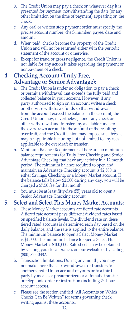- b. The Credit Union may pay a check on whatever day it is presented for payment, notwithstanding the date (or any other limitation on the time of payment) appearing on the check.
- c. Any oral or written stop payment order must specify the precise account number, check number, payee, date and amount.
- d. When paid, checks become the property of the Credit Union and will not be returned either with the periodic statement of the account or otherwise.
- e. Except for fraud or gross negligence, the Credit Union is not liable for any action it takes regarding the payment or nonpayment of a check.

# **4. Checking Account (Truly Free, Advantage or Senior Advantage):**

- a. The Credit Union is under no obligation to pay a check or permit a withdrawal that exceeds the fully paid and collected balance in your account. However, if any party authorized to sign on an account writes a check or otherwise withdraws funds so that withdrawals from the account exceed the balance in the account, the Credit Union may, nevertheless, honor any check or other withdrawal and transfer any available funds to the overdrawn account in the amount of the resulting overdraft, and the Credit Union may impose such fees as may be applicable including but not limited to any fees applicable to the overdraft or transfer.
- b. Minimum Balance Requirements: There are no minimum balance requirements for Truly Free Checking and Senior Advantage Checking that have any activity in a 12 month period. The minimum balance required to open and maintain an Advantage Checking account is \$2,500 in either Savings, Checking, or a Money Market account. If the balance falls below  $\tilde{\$2,500}$  during any day, you will be charged a \$7.50 fee for that month.
- You must be at least fifty-five (55) years old to open a Senior Advantage Checking account.

## **5. Select and Select Plus Money Market Accounts:**

- a. These Money Market accounts are tiered rate accounts. A tiered rate account pays different dividend rates based on specified balance levels. The dividend rate on these tiered rated accounts is determined each day based on the daily balance, and the rate is applied to the entire balance. The minimum balance to open a Select Money Market is \$1,000. The minimum balance to open a Select Plus Money Market is \$100,000. Rate sheets may be obtained by visiting your local branch, on our website or by calling (800) 822-0382.
- b. Transaction limitations: During any month, you may not make more than six withdrawals or transfers to another Credit Union account of yours or to a third party by means of preauthorized or automatic transfer or telephonic order or instruction (including 24-hour account access).
- c. Please see the section entitled "All Accounts on Which Checks Can Be Written" for terms governing check writing against these accounts.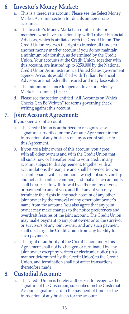# **6. Investor's Money Market:**

- This is a tiered rate account. Please see the Select Money Market Accounts section for details on tiered rate accounts.
- b. The Investor's Money Market account is only for members who have a relationship with Truliant Financial Advisors, which is affiliated with the Credit Union. The Credit Union reserves the right to transfer all funds to another money market account if you do not maintain a minimum relationship, as determined by the Credit Union. Your accounts at the Credit Union, together with this account, are insured up to \$250,000 by the National Credit Union Administration, a United States government agency. Accounts established with Truliant Financial Advisors are not federally insured and may lose value.
- c. The minimum balance to open an Investor's Money Market account is \$10,000.
- d. Please see the section entitled "All Accounts on Which Checks Can Be Written" for terms governing check writing against this account.

## **7. Joint Account Agreement:**

If you open a joint account:

- a. The Credit Union is authorized to recognize any signature subscribed on the Account Agreement in the transaction of any business on any account subject to this Agreement.
- b. If you are a joint owner of this account, you agree with all other owners and with the Credit Union that all sums now or hereafter paid to your credit in any account subject to this Agreement, together with all accumulations thereon, are and shall be owned by you as joint tenants with a common law right of survivorship and not as tenants in common, and that all such amounts shall be subject to withdrawal by either or any of you, or payment to any of you, and that any of you may terminate the rights in any such account of any other joint owner by the removal of any other joint owner's name from the account. You also agree that any joint owner may make changes to the notice preferences and overdraft features of the joint account. The Credit Union may make payment to any joint owner or to the survivor or survivors of any joint owner, and any such payment shall discharge the Credit Union from any liability for such payments.
- c. The right or authority of the Credit Union under this Agreement shall not be changed or terminated by any joint owner except by written or electronic notice (in a manner determined by the Credit Union) to the Credit Union, and termination shall not affect transactions theretofore made.

#### **8. Custodial Account:**

The Credit Union is hereby authorized to recognize the signature of the Custodian, subscribed on the Custodial Account signature card in the payment of funds or the transaction of any business for the account.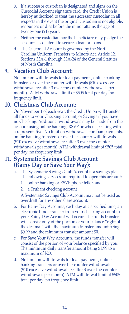- b. If a successor custodian is designated and signs on the Custodial Account signature card, the Credit Union is hereby authorized to treat the successor custodian in all respects in the event the original custodian is not eligible, renounces or dies before the minor attains the age of twenty-one (21) years.
- c. Neither the custodian nor the beneficiary may pledge the account as collateral to secure a loan or loans.
- d. The Custodial Account is governed by the North Carolina Uniform Transfers to Minors Act, Article 12, Sections 33A-1 through 33A-24 of the General Statutes of North Carolina.

# **9. Vacation Club Account:**

No limit on withdrawals for loan payments, online banking transfers or over the counter withdrawals (\$10 excessive withdrawal fee after 3 over-the-counter withdrawals per month). ATM withdrawal limit of \$505 total per day, no frequency limit.

## **10. Christmas Club Account:**

On November 1 of each year, the Credit Union will transfer all funds to your Checking account, or Savings if you have no Checking. Additional withdrawals may be made from the account using online banking, RSVP or when speaking with a representative. No limit on withdrawals for loan payments, online banking transfers or over the counter withdrawals (\$10 excessive withdrawal fee after 3 over-the-counter withdrawals per month). ATM withdrawal limit of \$505 total per day, no frequency limit.

## **11. Systematic Savings Club Account (Rainy Day or Save Your Way):**

- The Systematic Savings Club Account is a savings plan. The following services are required to open this account:
	- 1. online banking or RSVP phone teller, and
	- 2. a Truliant checking account

A Systematic Savings Club Account may not be used as overdraft for any other share account.

- b. For Rainy Day Accounts, each day at a specified time, an electronic funds transfer from your checking account to your Rainy Day Account will occur. The funds transfer will consist only of the portion of your balance "right of the decimal" with the maximum transfer amount being \$0.99 and the minimum transfer amount \$0.
- c. For Save Your Way Accounts, the funds transfer will consist of the portion of your balance specified by you. The minimum daily transfer amount being \$1.99 to a maximum of \$20.
- d. No limit on withdrawals for loan payments, online banking transfers or over-the-counter withdrawals (\$10 excessive withdrawal fee after 3 over-the-counter withdrawals per month). ATM withdrawal limit of \$505 total per day, no frequency limit.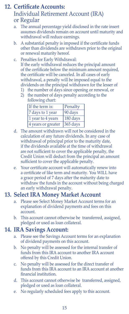# **12. Certificate Accounts:** Individual Retirement Account (IRA) or Regular

- a. The annual percentage yield disclosed in the rate insert assumes dividends remain on account until maturity and withdrawal will reduce earnings.
- b. A substantial penalty is imposed if the certificate funds other than dividends are withdrawn prior to the original or renewal maturity hereof.
- c. Penalties for Early Withdrawal: If the early withdrawal reduces the principal amount of the certificate below the minimum amount required, the certificate will be canceled. In all cases of early withdrawal, a penalty will be imposed equal to the dividends on the principal withdrawn for the lesser of
	- 1) the number of days since opening or renewal, or
	- 2) the number of days penalty according to the following chart:

| If the term is:    | Penalty    |
|--------------------|------------|
| 7 days to 1 year   | 90 days    |
| 1 year to 4 years  | 180 days   |
| 4 years or greater | $365$ days |

- d. The amount withdrawn will not be considered in the calculation of any future dividends. In any case of withdrawal of principal prior to the maturity date, if the dividends available at the time of withdrawal are not sufficient to cover the applicable penalty, the Credit Union will deduct from the principal an amount sufficient to cover the applicable penalty.
- e. Your certificate account will automatically renew into a certificate of like term and maturity. You WILL have a grace period of 7 days after the maturity date to withdraw the funds in the account without being charged an early withdrawal penalty.

# **13. Select IRA Money Market Account**

- a. Please see Select Money Market Account terms for an explanation of dividend payments and fees on this account.
- b. This account cannot otherwise be transferred, assigned, pledged or used as loan collateral.

## **14. IRA Savings Account:**

- a. Please see the Savings Account terms for an explanation of dividend payments on this account.
- b. No penalty will be assessed for the internal transfer of funds from this IRA account to another IRA account offered by this Credit Union.
- c. No penalty will be assessed for the direct transfer of funds from this IRA account to an IRA account at another financial institution.
- d. This account cannot otherwise be transferred, assigned, pledged or used as loan collateral.
- e. No regularly scheduled fees apply to this account.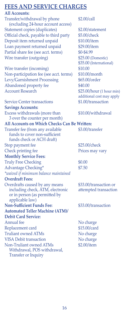# **FEES AND SERVICE CHARGES**

### **All Accounts:** Transfer/withdrawal by phone \$2.00/call (excluding 24-hour account access) Statement copies (duplicates) \$2.00/statement Official check, payable to third party \$5.00/check Deposit item returned unpaid \$10.00/item Loan payment returned unpaid \$29.00/item Partial share fee (see acct. terms) \$0-\$4.99 Wire transfer (outgoing) \$25.00 (Domestic) Wire transfer (incoming) \$10.00 Non-participation fee (see acct. terms) \$10.00/month Levy/Garnishment Processing \$65.00/order Abandoned property fee \$40.00 Account Research  $$25.00/hour$  (1 hour min) Service Center transactions \$1.00/transaction **Savings Accounts:** Excess withdrawals (more than \$10.00/withdrawal 3 over the counter per month) **All Accounts on Which Checks Can Be Written:** Transfer fee (from any available \$3.00/transfer funds to cover non-sufficient funds check or ACH draft) Stop payment fee \$25.00/check Check printing fee Prices may vary **Monthly Service Fees:** Truly Free Checking  $$0.00$ Advantage Checking\*  $$7.50$ *\*waived if minimum balance maintained* **Overdraft Fees:** Overdrafts caused by any means \$33.00/transaction or including check, ATM, electronic attempted transaction or in person (as permitted by applicable law) **Non-Sufficient Funds Fee:** \$33.00/transaction **Automated Teller Machine (ATM)/ Debit Card Service:** Annual fee No charge Replacement card \$15.00/card Truliant owned ATMs No charge VISA Debit transaction No charge

Non-Truliant owned ATMs \$2.00/item Withdrawal, POS withdrawal, Transfer or Inquiry

\$35.00 (International) additional cost may apply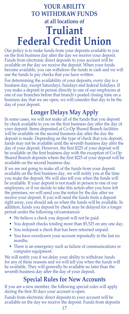# **YOUR ABILITY TO WITHDRAW FUNDS at all locations of Truliant Federal Credit Union**

Our policy is to make funds from your deposits available to you on the first business day after the day we receive your deposit. Funds from electronic direct deposits to your account will be available on the day we receive the deposit. When your funds become available, you can withdraw the funds in cash and we will use the funds to pay checks that you have written.

For determining the availability of your deposits, every day is a business day, except Saturdays, Sundays and federal holidays. If you make a deposit in person directly to one of our employees at one of our branches before that branch's posted closing time on a business day that we are open, we will consider that day to be the day of your deposit.

# **Longer Delays May Apply**

In some cases, we will not make all of the funds that you deposit by check available to you on the first business day after the day of your deposit. Items deposited at Co-Op Shared Branch facilities will be available on the second business day after the day the deposit is made. Depending on the type of check that you deposit, funds may not be available until the seventh business day after the day of your deposit. However, the first \$225 of your deposit will be available on the first business day with the exception of Co-Op Shared Branch deposits where the first \$225 of your deposit will be available on the second business day.

If we are not going to make all of the funds from your deposit available on the first business day, we will notify you at the time you make the deposit. We will also tell you when the funds will be available. If your deposit is not made in person to one of our employees, or if we decide to take this action after you have left the premises, we will send you the notice by the day after we receive your deposit. If you will need the funds from a deposit right away, you should ask us when the funds will be available. In addition, funds you deposit by check may be delayed for a longer period under the following circumstances:

- We believe a check you deposit will not be paid.
- You deposit checks totaling more than \$5,525 on any one day.
- You redeposit a check that has been returned unpaid.
- You have overdrawn your account repeatedly in the last six months.
- There is an emergency such as failure of communications or computer equipment.

We will notify you if we delay your ability to withdraw funds for any of these reasons and we will tell you when the funds will be available. They will generally be available no later than the seventh business day after the day of your deposit.

# **Special Rules for New Accounts**

If you are a new member, the following special rules will apply during the first 30 days your account is open:

Funds from electronic direct deposits to your account will be available on the day we receive the deposit. Funds from deposits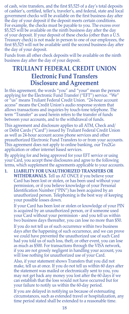of cash, wire transfers, and the first \$5,525 of a day's total deposits of cashier's, certified, teller's, traveler's, and federal, state and local government checks will be available on the first business day after the day of your deposit if the deposit meets certain conditions. For example, the checks must be payable to you. The excess over \$5,525 will be available on the ninth business day after the day of your deposit. If your deposit of these checks (other than a U.S. Treasury check) is not made in person to one of our employees, the first \$5,525 will not be available until the second business day after the day of your deposit.

Funds from all other check deposits will be available on the ninth business day after the day of your deposit.

# **TRULIANT FEDERAL CREDIT UNION Electronic Fund Transfers Disclosure and Agreement**

In this agreement, the words "you" and "your" mean the person applying for the Electronic Fund Transfer ("EFT") service. "We" us" means Truliant Federal Credit Union. "24-hour account" access" means the Credit Union's audio response system that allows transactions and inquiries by touch-tone telephone. The term "Transfer" as used herein refers to the transfer of funds between your accounts, and to the withdrawal of funds.

This agreement and disclosure applies to all ATM, Check and/ or Debit Cards ("Card") issued by Truliant Federal Credit Union as well as 24-hour account access phone services and other preauthorized Electronic Fund Transfers to or from your accounts. This agreement does not apply to online banking, our Tru2Go application or other internet based services.

By applying for and being approved for your EFT service or using your Card, you accept these disclosures and agree to the following terms, which supplement the agreements applicable to your accounts.

**1. LIABILITY FOR UNAUTHORIZED TRANSFERS OR WITHDRAWALS.** Tell us AT ONCE if you believe your Card has been lost or stolen, or has been used without your permission, or if you believe knowledge of your Personal Identification Number ("PIN") has been acquired by an unauthorized person. Telephoning is the best way of keeping your possible losses down.

If your Card has been lost or stolen or knowledge of your PIN is acquired by an unauthorized person, or if someone used your Card without your permission - and you tell us within two business days thereafter, you can lose no more than \$50. If you do not tell us of such occurrence within two business days after the happening of such occurrence, and we can prove we could have prevented the unauthorized use of such Card had you told us of such loss, theft, or other event, you can lose as much as \$500. For transactions through the VISA network, if you are not grossly negligent in handling your account, you will lose nothing for unauthorized use of your Card.

Also, if your statement shows Transfers that you did not make, tell us at once. If you do not tell us within 60 days after the statement was mailed or electronically sent to you, you may not get back any money you lost after the 60 days if we can establish that the loss would not have occurred but for your failure to notify us within the 60-day period.

If you are delayed in notifying us because of extenuating circumstances, such as extended travel or hospitalization, any time period stated shall be extended to a reasonable time.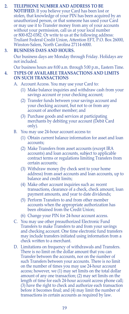#### **2. TELEPHONE NUMBER AND ADDRESS TO BE**

**NOTIFIED.** If you believe your Card has been lost or stolen, that knowledge of your PIN has been acquired by an unauthorized person, or that someone has used your Card or may use it to Transfer money from any of your accounts without your permission, call us at your local number or 800-822-0382. Or write to us at the following address: Truliant Federal Credit Union, Attention EFT, P.O. Box 26000, Winston-Salem, North Carolina 27114-6000.

#### **3. BUSINESS DAYS AND HOURS.**

Our business days are Monday through Friday. Holidays are not included.

Our business hours are 8:00 a.m. through 5:00 p.m., Eastern Time.

#### **4. TYPES OF AVAILABLE TRANSACTIONS AND LIMITS ON SUCH TRANSACTIONS**

- A. Account Access. You may use your Card to:
	- (1) Make balance inquiries and withdraw cash from your savings account or your checking account;
	- (2) Transfer funds between your savings account and your checking account, but not to or from any account of another member; and
	- (3) Purchase goods and services at participating merchants by debiting your account (Debit Card only).
- B. You may use 24-hour account access to:
	- (1) Obtain current balance information for asset and loan accounts;
	- (2) Make Transfers from asset accounts (except IRA accounts) and loan accounts, subject to applicable contract terms or regulations limiting Transfers from certain accounts;
	- (3) Withdraw money (by check sent to your home address) from asset accounts and loan accounts, up to balance and credit limits;
	- (4) Make other account inquiries such as: recent transactions, clearance of a check, check amount, loan payment amounts, and year to date dividends;
	- (5) Perform Transfers to and from other member accounts when the appropriate authorization has been obtained from the Credit Union;
	- (6) Change your PIN for 24-hour account access.
- You may use other preauthorized Electronic Fund Transfers to make Transfers to and from your savings and checking account. One time electronic fund transfers may include transfers initiated using information from a check written to a merchant.
- D. Limitations on frequency of withdrawals and Transfers. There is no limit on the dollar amount that you can Transfer between the accounts, nor on the number of such Transfers between your accounts. There is no limit on the number of times you may use 24-hour account access; however, we (1) may set limits on the total dollar amount of any one transaction; (2) may set limits on the length of time for each 24-hour account access phone call; (3) have the right to check and authorize each transaction before it becomes final; and (4) may limit the number of transactions in certain accounts as required by law.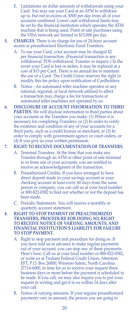- E. Limitations on dollar amounts of withdrawals using your Card. You may use your Card at an ATM to withdraw up to, but not in excess of, \$500 per day from all of your accounts combined. Lower cash withdrawal limits may be set by the financial institution which operates the ATM machine that is being used. Point of sale purchases using the VISA network are limited to \$15,000 per day.
- **5. CHARGES**. There is no charge for use of 24-hour account access or preauthorized Electronic Fund Transfers.
	- A. To use your Card, your account may be charged \$2 per financial transaction. (Financial transaction is any withdrawal, POS withdrawal, Transfer or inquiry.) In the event your Card is lost or stolen, it may be replaced at a cost of \$15 per Card. There is no annual fee to maintain the use of a Card. The Credit Union reserves the right to modify this fee policy upon notification of Cardholders.
	- B. Notice An automated teller machine operator or any national, regional, or local network utilized to affect a transaction may charge a fee for transactions at automated teller machines not operated by us.
- **6. DISCLOSURE OF ACCOUNT INFORMATION TO THIRD PARTIES.** We will disclose information to third parties about your accounts or the Transfers you make: (1) Where it is necessary for completing Transfers, or (2) In order to verify the existence and condition of any of your accounts for a third party, such as a credit bureau or merchant, or (3) In order to comply with government agency or court orders, or (4) If you give us your written permission.

#### **7. RIGHT TO RECEIVE DOCUMENTATION OF TRANSFERS.**

- A. Terminal Transfers. At the time that you make any Transfer through an ATM or other point of sale terminal to or from one of your accounts, you are entitled to receive an acknowledgment of the transaction.
- B. Preauthorized Credits. If you have arranged to have direct deposit made to your savings account or your checking account at least every 60 days from the same person or company, you can call us at your local number or 800-822-0382 to find out whether or not the deposit has been made.
- C. Periodic Statements. You will receive a monthly or quarterly account statement.
- **8. RIGHT TO STOP PAYMENT OF PREAUTHORIZED TRANSFERS, PROCEDURE FOR DOING SO, RIGHT TO RECEIVE NOTICE OF VARYING AMOUNTS, AND FINANCIAL INSTITUTION'S LIABILITY FOR FAILURE TO STOP PAYMENT.**
	- A. Right to stop payment and procedure for doing so. If you have told us in advance to make regular payments out of your account, you can stop any of these payments. Here's how: Call us at your local number or 800-822-0382, or write us at Truliant Federal Credit Union, Attention EFT, P.O. Box 26000, Winston-Salem, North Carolina 27114-6000, in time for us to receive your request three business days or more before the payment is scheduled to be made. If you call, we may also require you to put your request in writing and get it to us within 14 days after your call.
	- B. Notice of varying amounts. If your regular preauthorized payments vary in amount, the person you are going to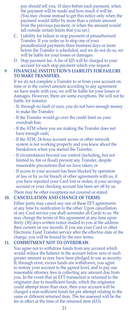pay should tell you, 10 days before each payment, when the payment will be made and how much it will be. (You may choose instead to get this notice only when the payment would differ by more than a certain amount from the previous payment, or when the amount would fall outside certain limits that you set.)

- C. Liability for failure to stop payment of preauthorized Transfer. If you order us to stop one of your preauthorized payments three business days or more before the Transfer is scheduled, and we do not do so, we will be liable for your losses or damages.
- D. Stop payment fee. A fee of \$25 will be charged to your account for each stop payment which you request.

#### **9 FINANCIAL INSTITUTION'S LIABILITY FOR FAILURE TO MAKE TRANSFERS.**

If we do not complete a Transfer to or from your account on time or in the correct amount according to any agreement we have made with you, we will be liable for your losses or damages. However, there are some exceptions. We will not be liable, for instance:

- If, through no fault of ours, you do not have enough money to make the Transfer;
- If the Transfer would go over the credit limit on your overdraft line;
- If the ATM where you are making the Transfer does not have enough cash;
- If the ATM, 24-hour account access or other network system is not working properly and you knew about the breakdown when you started the Transfer;
- If circumstances beyond our control (including, but not limited to, fire or flood) prevent any Transfer, despite reasonable precautions that we have taken; or
- If access to your account has been blocked by operation of law or by us for breach of other agreements with us, if you have reported your Card lost or stolen, if your savings account or your checking account has been set off by us.

There may be other exceptions not covered or stated.

#### **10. CANCELLATION AND CHANGE OF TERMS.**

Either party may cancel any one of these EFT agreements at any time by notification to the other. Upon cancellation of any Card service you shall surrender all Cards to us. We may change the terms of this agreement at any time upon thirty (30) days written notice mailed to you at the address then current on our records. If you use your Card or other Electronic Fund Transfer service after the effective date of the change, you will be bound by the new terms.

#### **11. COMMITMENT NOT TO OVERDRAW.**

You agree not to withdraw funds from any account which would reduce the balance in the account below zero or such greater amount as may have been pledged to use as security. If, through error, excess funds are withdrawn, you agree to restore your account to the agreed level, and to pay our reasonable attorney fees in collecting any amount due from you. In the event that an EFT transaction is returned to the originator due to insufficient funds, which the originator could attempt more than once, then your account will be charged a non-sufficient funds fee per attempt relating to the same or different returned item. The fee assessed will be the fee in effect at the time of the returned item (\$33).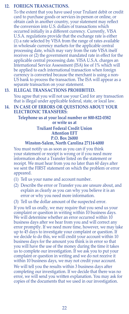#### **12. FOREIGN TRANSACTIONS.**

To the extent that you have used your Truliant debit or credit card to purchase goods or services in-person or online, or obtain cash in another country, your statement may reflect the conversion into U.S. dollars of transactions which occurred initially in a different currency. Currently, VISA U.S.A. regulations provide that the exchange rate is either (1) a rate selected by VISA from the range of rates available in wholesale currency markets for the applicable central processing date, which may vary from the rate VISA itself receives or (2) the government mandated rate in effect for the applicable central processing date. VISA U.S.A. charges an International Service Assessment (ISA) fee of 1% which will be applied to each international transaction when foreign currency is converted because the merchant is using a non-US bank to process the transaction. The ISA will appear as a separate transaction on your statement.

#### **13. ILLEGAL TRANSACTIONS PROHIBITED.**

You agree that you will not use your Card for any transaction that is illegal under applicable federal, state, or local law.

#### **14. IN CASE OF ERRORS OR QUESTIONS ABOUT YOUR ELECTRONIC TRANSFERS:**

**Telephone us at your local number or 800-822-0382 or write us at**

#### **Truliant Federal Credit Union Attention EFT P.O. Box 26000 Winston-Salem, North Carolina 27114-6000**

You must notify us as soon as you can if you think your statement or receipt is wrong or if you need more information about a Transfer listed on the statement or receipt. We must hear from you no later than 60 days after we sent the FIRST statement on which the problem or error appeared.

- (1) Tell us your name and account number.
- (2) Describe the error or Transfer you are unsure about, and explain as clearly as you can why you believe it is an error or why you need more information.
- (3) Tell us the dollar amount of the suspected error.

If you tell us orally, we may require that you send us your complaint or question in writing within 10 business days. We will determine whether an error occurred within 10 business days after we hear from you and will correct any error promptly. If we need more time, however, we may take up to 45 days to investigate your complaint or question. If we decide to do this, we will credit your account within 10 business days for the amount you think is in error so that you will have the use of the money during the time it takes us to complete our investigation. If we ask you to put your complaint or question in writing and we do not receive it within 10 business days, we may not credit your account.

We will tell you the results within 3 business days after completing our investigation. If we decide that there was no error, we will send you written explanation. You may ask for copies of the documents that we used in our investigation.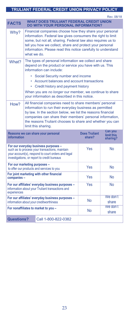#### **TRULIANT FEDERAL CREDIT UNION PRIVACY POLICY**

Rev. 08/18 **FACTS WHAT DOES TRULIANT FEDERAL CREDIT UNION DO WITH YOUR PERSONAL INFORMATION?** Why? Financial companies choose how they share your personal information. Federal law gives consumers the right to limit some, but not all, sharing. Federal law also requires us to tell you how we collect, share and protect your personal information. Please read this notice carefully to understand what we do. What? The types of personal information we collect and share depend on the product or service you have with us. This information can include: • Social Security number and income • Account balances and account transactions • Credit history and payment history When you are *no longer* our member, we continue to share your information as described in this notice. How? All financial companies need to share members' personal information to run their everyday business as permitted by law. In the section below, we list the reasons financial companies can share their members' personal information, the reasons Truliant chooses to share and whether you can limit this sharing. **Reasons we can share your personal Does Truliant Can you information share? limit this sharing? For our everyday business purposes –** such as to process your transactions, maintain your account(s), respond to court orders and legal investigations, or report to credit bureaus Yes No **For our marketing purposes –** to offer our products and services to you Yes No **For joint marketing with other financial companies** – No **For our affiliates' everyday business purposes –** information about your Truliant transactions and experiences Yes | No **For our affiliates' everyday business purposes –** information about your creditworthiness No We don't share **For nonaffiliates to market to you –** No We don't share **Questions?** Call 1-800-822-0382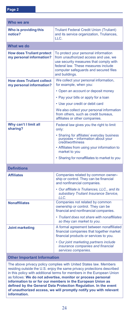| Who we are                                                   |                                                                                                                                                                                                                          |  |
|--------------------------------------------------------------|--------------------------------------------------------------------------------------------------------------------------------------------------------------------------------------------------------------------------|--|
| Who is providing this<br>notice?                             | <b>Truliant Federal Credit Union (Truliant)</b><br>and its service organization, Truliances,<br>LLC.                                                                                                                     |  |
| What we do                                                   |                                                                                                                                                                                                                          |  |
| <b>How does Truliant protect</b><br>my personal information? | To protect your personal information<br>from unauthorized access and use, we<br>use security measures that comply with<br>federal law. These measures include<br>computer safequards and secured files<br>and buildings. |  |
| <b>How does Truliant collect</b><br>my personal information? | We collect your personal information,<br>for example, when you:                                                                                                                                                          |  |
|                                                              | • Open an account or deposit money                                                                                                                                                                                       |  |
|                                                              | • Pay your bills or apply for a loan                                                                                                                                                                                     |  |
|                                                              | • Use your credit or debit card                                                                                                                                                                                          |  |
|                                                              | We also collect your personal information<br>from others, such as credit bureaus,<br>affiliates or other companies.                                                                                                      |  |
| Why can't I limit all<br>sharing?                            | Federal law gives you the right to limit<br>only:                                                                                                                                                                        |  |
|                                                              | • Sharing for affiliates' everyday business<br>purposes - information about your<br>creditworthiness                                                                                                                     |  |
|                                                              | • Affiliates from using your information to<br>market to you                                                                                                                                                             |  |
|                                                              | • Sharing for nonaffiliates to market to you                                                                                                                                                                             |  |
| <b>Definitions</b>                                           |                                                                                                                                                                                                                          |  |
| <b>Affiliates</b>                                            | Companies related by common owner-<br>ship or control. They can be financial<br>and nonfinancial companies.                                                                                                              |  |
|                                                              | • Our affiliate is Truliances, LLC., and its<br>subsidiary Truliant Insurance Service,<br>LLC.                                                                                                                           |  |
| <b>Nonaffiliates</b>                                         | Companies not related by common<br>ownership or control. They can be<br>financial and nonfinancial companies.                                                                                                            |  |
|                                                              | • Truliant does not share with nonaffiliates<br>so they can market to you.                                                                                                                                               |  |
| <b>Joint marketing</b>                                       | A formal agreement between nonaffiliated<br>financial companies that together market<br>financial products or services to you.                                                                                           |  |
|                                                              | • Our joint marketing partners include<br>insurance companies and financial<br>services companies.                                                                                                                       |  |

#### **Other Important Information**

The above privacy policy complies with United States law. Members residing outside the U.S. enjoy the same privacy protections described in this policy with additional terms for members in the European Union as follows: **We do not advertise, monitor or process personal information to or for our members in the European Union as defined by the General Data Protection Regulation. In the event of unauthorized access, we will promptly notify you with relevant information.**